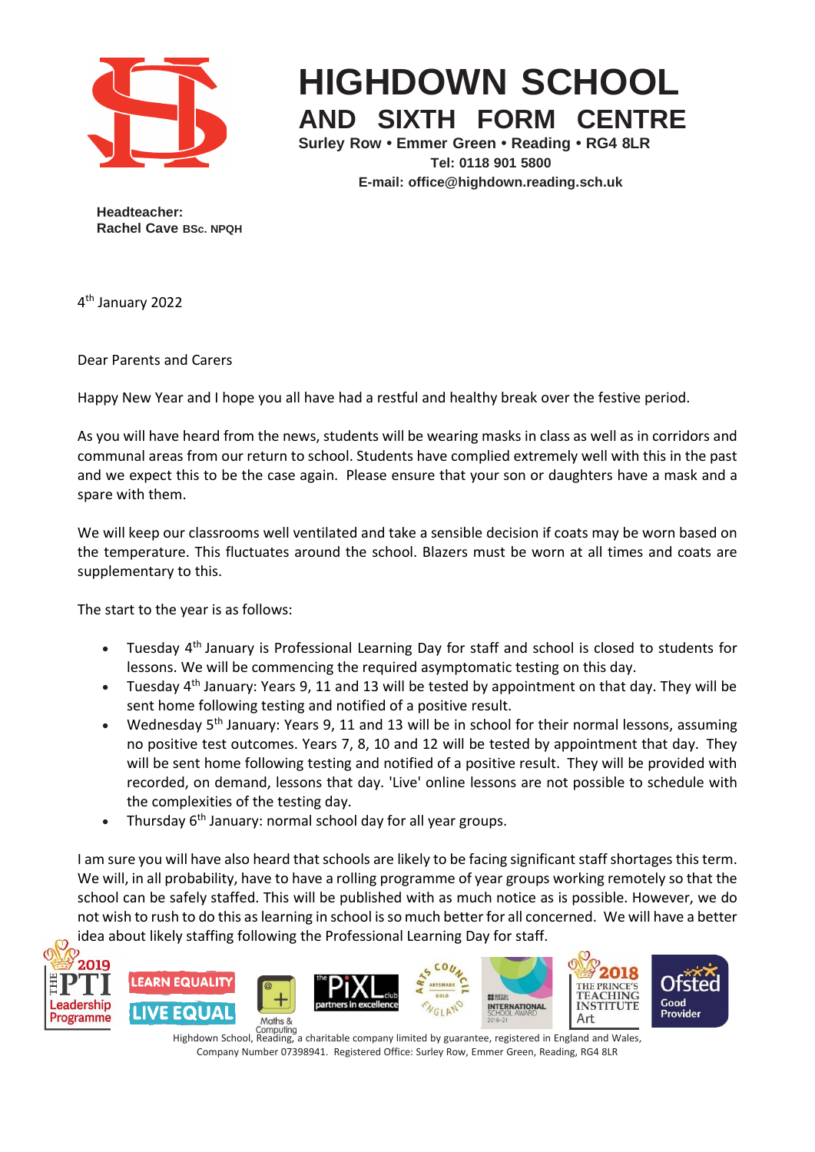

## **HIGHDOWN SCHOOL AND SIXTH FORM CENTRE**

**Surley Row • Emmer Green • Reading • RG4 8LR Tel: 0118 901 5800 E-mail: [office@highdown.reading.sch.uk](mailto:office@highdown.reading.sch.uk)**

**Headteacher: Rachel Cave BSc. NPQH**

4 th January 2022

Dear Parents and Carers

Happy New Year and I hope you all have had a restful and healthy break over the festive period.

As you will have heard from the news, students will be wearing masks in class as well as in corridors and communal areas from our return to school. Students have complied extremely well with this in the past and we expect this to be the case again. Please ensure that your son or daughters have a mask and a spare with them.

We will keep our classrooms well ventilated and take a sensible decision if coats may be worn based on the temperature. This fluctuates around the school. Blazers must be worn at all times and coats are supplementary to this.

The start to the year is as follows:

- Tuesday 4<sup>th</sup> January is Professional Learning Day for staff and school is closed to students for lessons. We will be commencing the required asymptomatic testing on this day.
- Tuesday 4<sup>th</sup> January: Years 9, 11 and 13 will be tested by appointment on that day. They will be sent home following testing and notified of a positive result.
- Wednesday 5<sup>th</sup> January: Years 9, 11 and 13 will be in school for their normal lessons, assuming no positive test outcomes. Years 7, 8, 10 and 12 will be tested by appointment that day. They will be sent home following testing and notified of a positive result. They will be provided with recorded, on demand, lessons that day. 'Live' online lessons are not possible to schedule with the complexities of the testing day.
- Thursday 6<sup>th</sup> January: normal school day for all year groups.

I am sure you will have also heard that schools are likely to be facing significant staff shortages this term. We will, in all probability, have to have a rolling programme of year groups working remotely so that the school can be safely staffed. This will be published with as much notice as is possible. However, we do not wish to rush to do this as learning in school is so much better for all concerned. We will have a better idea about likely staffing following the Professional Learning Day for staff.



Highdown School, Reading, a charitable company limited by guarantee, registered in England and Wales, Company Number 07398941. Registered Office: Surley Row, Emmer Green, Reading, RG4 8LR